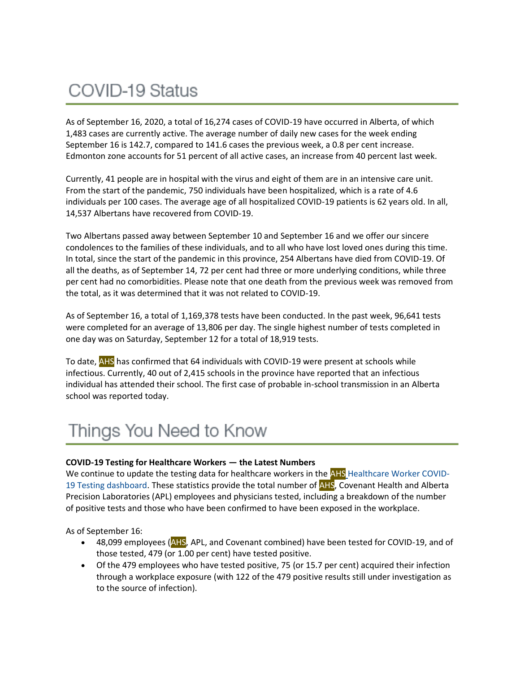# COVID-19 Status

As of September 16, 2020, a total of 16,274 cases of COVID-19 have occurred in Alberta, of which 1,483 cases are currently active. The average number of daily new cases for the week ending September 16 is 142.7, compared to 141.6 cases the previous week, a 0.8 per cent increase. Edmonton zone accounts for 51 percent of all active cases, an increase from 40 percent last week.

Currently, 41 people are in hospital with the virus and eight of them are in an intensive care unit. From the start of the pandemic, 750 individuals have been hospitalized, which is a rate of 4.6 individuals per 100 cases. The average age of all hospitalized COVID-19 patients is 62 years old. In all, 14,537 Albertans have recovered from COVID-19.

Two Albertans passed away between September 10 and September 16 and we offer our sincere condolences to the families of these individuals, and to all who have lost loved ones during this time. In total, since the start of the pandemic in this province, 254 Albertans have died from COVID-19. Of all the deaths, as of September 14, 72 per cent had three or more underlying conditions, while three per cent had no comorbidities. Please note that one death from the previous week was removed from the total, as it was determined that it was not related to COVID-19.

As of September 16, a total of 1,169,378 tests have been conducted. In the past week, 96,641 tests were completed for an average of 13,806 per day. The single highest number of tests completed in one day was on Saturday, September 12 for a total of 18,919 tests.

To date, **AHS** has confirmed that 64 individuals with COVID-19 were present at schools while infectious. Currently, 40 out of 2,415 schools in the province have reported that an infectious individual has attended their school. The first case of probable in-school transmission in an Alberta school was reported today.

# Things You Need to Know

## **COVID-19 Testing for Healthcare Workers — the Latest Numbers**

We continue to update the testing data for healthcare workers in the AHS [Healthcare Worker COVID-](https://tableau.albertahealthservices.ca/#/views/AHSEmployeePhysicianCOVID-19TestSurveillanceDashboard/Introduction?:iid=1)[19 Testing dashboard.](https://tableau.albertahealthservices.ca/#/views/AHSEmployeePhysicianCOVID-19TestSurveillanceDashboard/Introduction?:iid=1) These statistics provide the total number of **AHS**, Covenant Health and Alberta Precision Laboratories (APL) employees and physicians tested, including a breakdown of the number of positive tests and those who have been confirmed to have been exposed in the workplace.

As of September 16:

- 48,099 employees (AHS, APL, and Covenant combined) have been tested for COVID-19, and of those tested, 479 (or 1.00 per cent) have tested positive.
- Of the 479 employees who have tested positive, 75 (or 15.7 per cent) acquired their infection through a workplace exposure (with 122 of the 479 positive results still under investigation as to the source of infection).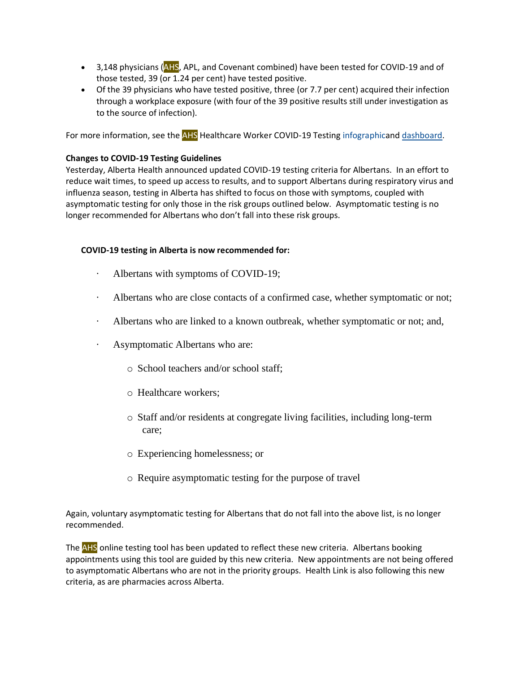- 3,148 physicians (AHS, APL, and Covenant combined) have been tested for COVID-19 and of those tested, 39 (or 1.24 per cent) have tested positive.
- Of the 39 physicians who have tested positive, three (or 7.7 per cent) acquired their infection through a workplace exposure (with four of the 39 positive results still under investigation as to the source of infection).

For more information, see the AHS Healthcare Worker COVID-19 Testing [infographica](https://insite.albertahealthservices.ca/main/assets/tls/ep/tls-ep-covid-19-healthcare-worker-testing-infographic.pdf)nd [dashboard.](https://tableau.albertahealthservices.ca/#/views/AHSEmployeePhysicianCOVID-19TestSurveillanceDashboard/Introduction?:iid=1)

## **Changes to COVID-19 Testing Guidelines**

Yesterday, Alberta Health announced updated COVID-19 testing criteria for Albertans. In an effort to reduce wait times, to speed up access to results, and to support Albertans during respiratory virus and influenza season, testing in Alberta has shifted to focus on those with symptoms, coupled with asymptomatic testing for only those in the risk groups outlined below. Asymptomatic testing is no longer recommended for Albertans who don't fall into these risk groups.

# **COVID-19 testing in Alberta is now recommended for:**

- Albertans with symptoms of COVID-19;
- · Albertans who are close contacts of a confirmed case, whether symptomatic or not;
- Albertans who are linked to a known outbreak, whether symptomatic or not; and,
- Asymptomatic Albertans who are:
	- o School teachers and/or school staff;
	- o Healthcare workers;
	- o Staff and/or residents at congregate living facilities, including long-term care;
	- o Experiencing homelessness; or
	- o Require asymptomatic testing for the purpose of travel

Again, voluntary asymptomatic testing for Albertans that do not fall into the above list, is no longer recommended.

The AHS online testing tool has been updated to reflect these new criteria. Albertans booking appointments using this tool are guided by this new criteria. New appointments are not being offered to asymptomatic Albertans who are not in the priority groups. Health Link is also following this new criteria, as are pharmacies across Alberta.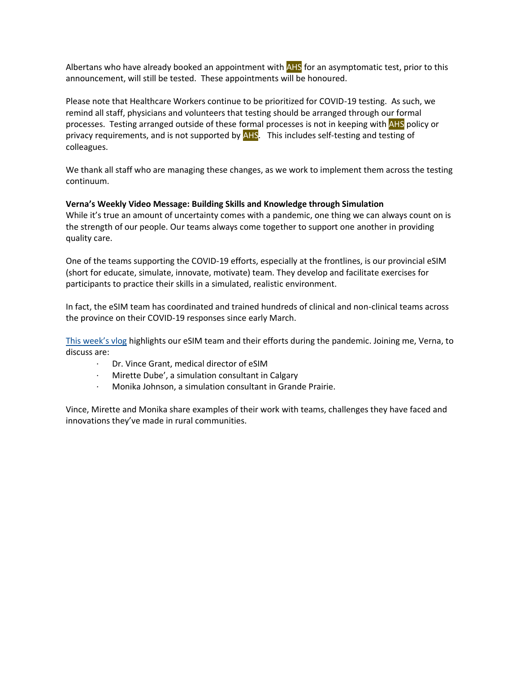Albertans who have already booked an appointment with AHS for an asymptomatic test, prior to this announcement, will still be tested. These appointments will be honoured.

Please note that Healthcare Workers continue to be prioritized for COVID-19 testing. As such, we remind all staff, physicians and volunteers that testing should be arranged through our formal processes. Testing arranged outside of these formal processes is not in keeping with AHS policy or privacy requirements, and is not supported by AHS. This includes self-testing and testing of colleagues.

We thank all staff who are managing these changes, as we work to implement them across the testing continuum.

## **Verna's Weekly Video Message: Building Skills and Knowledge through Simulation**

While it's true an amount of uncertainty comes with a pandemic, one thing we can always count on is the strength of our people. Our teams always come together to support one another in providing quality care.

One of the teams supporting the COVID-19 efforts, especially at the frontlines, is our provincial eSIM (short for educate, simulate, innovate, motivate) team. They develop and facilitate exercises for participants to practice their skills in a simulated, realistic environment.

In fact, the eSIM team has coordinated and trained hundreds of clinical and non-clinical teams across the province on their COVID-19 responses since early March.

[This week's vlog](https://www.albertahealthservices.ca/Blogs/ceo/290.aspx#.X2QMPZ5KiUk) highlights our eSIM team and their efforts during the pandemic. Joining me, Verna, to discuss are:

- · Dr. Vince Grant, medical director of eSIM
- · Mirette Dube', a simulation consultant in Calgary
- · Monika Johnson, a simulation consultant in Grande Prairie.

Vince, Mirette and Monika share examples of their work with teams, challenges they have faced and innovations they've made in rural communities.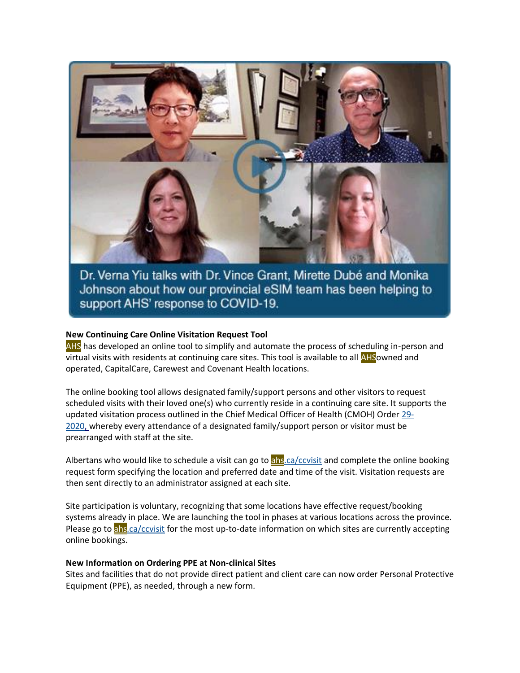

Dr. Verna Yiu talks with Dr. Vince Grant, Mirette Dubé and Monika Johnson about how our provincial eSIM team has been helping to support AHS' response to COVID-19.

#### **New Continuing Care Online Visitation Request Tool**

AHS has developed an online tool to simplify and automate the process of scheduling in-person and virtual visits with residents at continuing care sites. This tool is available to all AHSowned and operated, CapitalCare, Carewest and Covenant Health locations.

The online booking tool allows designated family/support persons and other visitors to request scheduled visits with their loved one(s) who currently reside in a continuing care site. It supports the updated visitation process outlined in the Chief Medical Officer of Health (CMOH) Order [29-](https://open.alberta.ca/publications/cmoh-order-29-2020-which-rescinds-cmoh-order-14-2020-2020-covid-19-response) [2020,](https://open.alberta.ca/publications/cmoh-order-29-2020-which-rescinds-cmoh-order-14-2020-2020-covid-19-response) whereby every attendance of a designated family/support person or visitor must be prearranged with staff at the site.

Albertans who would like to schedule a visit can go to [ahs.ca/ccvisit](https://www.albertahealthservices.ca/cc/page17201.aspx) and complete the online booking request form specifying the location and preferred date and time of the visit. Visitation requests are then sent directly to an administrator assigned at each site.

Site participation is voluntary, recognizing that some locations have effective request/booking systems already in place. We are launching the tool in phases at various locations across the province. Please go to [ahs.ca/ccvisit](https://www.albertahealthservices.ca/cc/page17201.aspx) for the most up-to-date information on which sites are currently accepting online bookings.

#### **New Information on Ordering PPE at Non-clinical Sites**

Sites and facilities that do not provide direct patient and client care can now order Personal Protective Equipment (PPE), as needed, through a new form.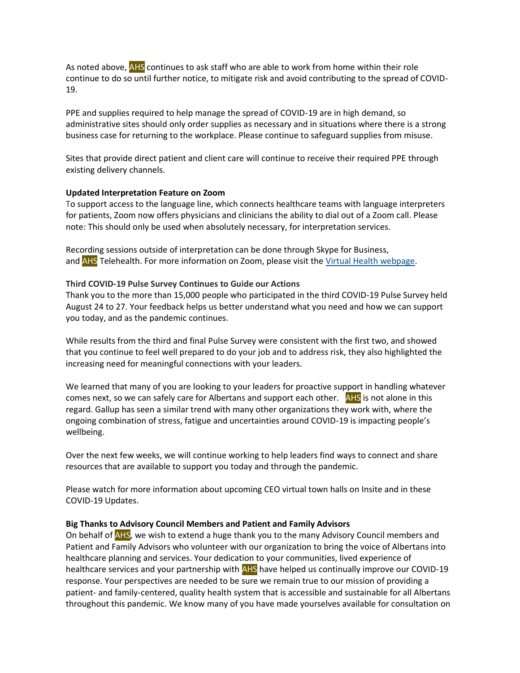As noted above, AHS continues to ask staff who are able to work from home within their role continue to do so until further notice, to mitigate risk and avoid contributing to the spread of COVID-19.

PPE and supplies required to help manage the spread of COVID-19 are in high demand, so administrative sites should only order supplies as necessary and in situations where there is a strong business case for returning to the workplace. Please continue to safeguard supplies from misuse.

Sites that provide direct patient and client care will continue to receive their required PPE through existing delivery channels.

## **Updated Interpretation Feature on Zoom**

To support access to the language line, which connects healthcare teams with language interpreters for patients, Zoom now offers physicians and clinicians the ability to dial out of a Zoom call. Please note: This should only be used when absolutely necessary, for interpretation services.

Recording sessions outside of interpretation can be done through Skype for Business, and AHS Telehealth. For more information on Zoom, please visit the [Virtual Health webpage.](https://www.albertahealthservices.ca/topics/Page17094.aspx)

## **Third COVID-19 Pulse Survey Continues to Guide our Actions**

Thank you to the more than 15,000 people who participated in the third COVID-19 Pulse Survey held August 24 to 27. Your feedback helps us better understand what you need and how we can support you today, and as the pandemic continues.

While results from the third and final Pulse Survey were consistent with the first two, and showed that you continue to feel well prepared to do your job and to address risk, they also highlighted the increasing need for meaningful connections with your leaders.

We learned that many of you are looking to your leaders for proactive support in handling whatever comes next, so we can safely care for Albertans and support each other. AHS is not alone in this regard. Gallup has seen a similar trend with many other organizations they work with, where the ongoing combination of stress, fatigue and uncertainties around COVID-19 is impacting people's wellbeing.

Over the next few weeks, we will continue working to help leaders find ways to connect and share resources that are available to support you today and through the pandemic.

Please watch for more information about upcoming CEO virtual town halls on Insite and in these COVID-19 Updates.

## **Big Thanks to Advisory Council Members and Patient and Family Advisors**

On behalf of **AHS**, we wish to extend a huge thank you to the many Advisory Council members and Patient and Family Advisors who volunteer with our organization to bring the voice of Albertans into healthcare planning and services. Your dedication to your communities, lived experience of healthcare services and your partnership with AHS have helped us continually improve our COVID-19 response. Your perspectives are needed to be sure we remain true to our mission of providing a patient- and family-centered, quality health system that is accessible and sustainable for all Albertans throughout this pandemic. We know many of you have made yourselves available for consultation on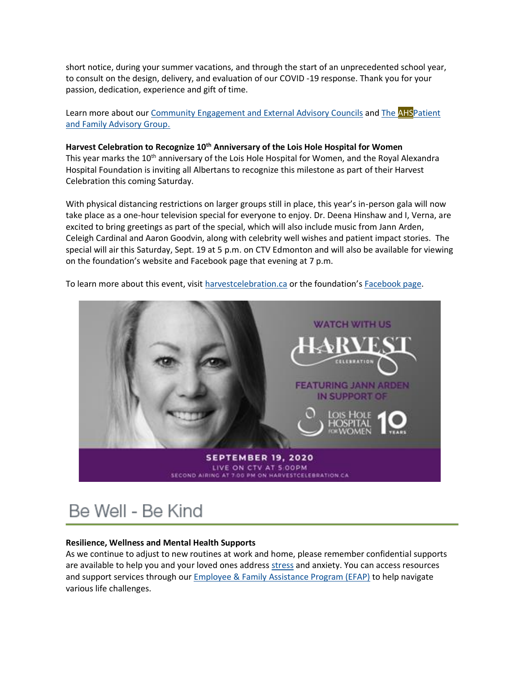short notice, during your summer vacations, and through the start of an unprecedented school year, to consult on the design, delivery, and evaluation of our COVID -19 response. Thank you for your passion, dedication, experience and gift of time.

Learn more about our [Community Engagement and External Advisory Councils](https://insite.albertahealthservices.ca/comm/Page16284.aspx) and The **AHS**Patient [and Family Advisory Group.](https://www.albertahealthservices.ca/info/Page6620.aspx)

## **Harvest Celebration to Recognize 10th Anniversary of the Lois Hole Hospital for Women**

This year marks the 10<sup>th</sup> anniversary of the Lois Hole Hospital for Women, and the Royal Alexandra Hospital Foundation is inviting all Albertans to recognize this milestone as part of their Harvest Celebration this coming Saturday.

With physical distancing restrictions on larger groups still in place, this year's in-person gala will now take place as a one-hour television special for everyone to enjoy. Dr. Deena Hinshaw and I, Verna, are excited to bring greetings as part of the special, which will also include music from Jann Arden, Celeigh Cardinal and Aaron Goodvin, along with celebrity well wishes and patient impact stories. The special will air this Saturday, Sept. 19 at 5 p.m. on CTV Edmonton and will also be available for viewing on the foundation's website and Facebook page that evening at 7 p.m.

To learn more about this event, visit [harvestcelebration.ca](http://www.harvestcelebration.ca/) or the foundation's [Facebook page.](https://www.facebook.com/RoyalAlexandraHospitalFoundation)



# Be Well - Be Kind

## **Resilience, Wellness and Mental Health Supports**

As we continue to adjust to new routines at work and home, please remember confidential supports are available to help you and your loved ones address [stress](https://insite.albertahealthservices.ca/main/assets/hr/tms-hr-whs-wellness-stress-orientation.pdf) and anxiety. You can access resources and support services through our **[Employee & Family Assistance Program \(EFAP\)](https://insite.albertahealthservices.ca/hr/Page964.aspx)** to help navigate various life challenges.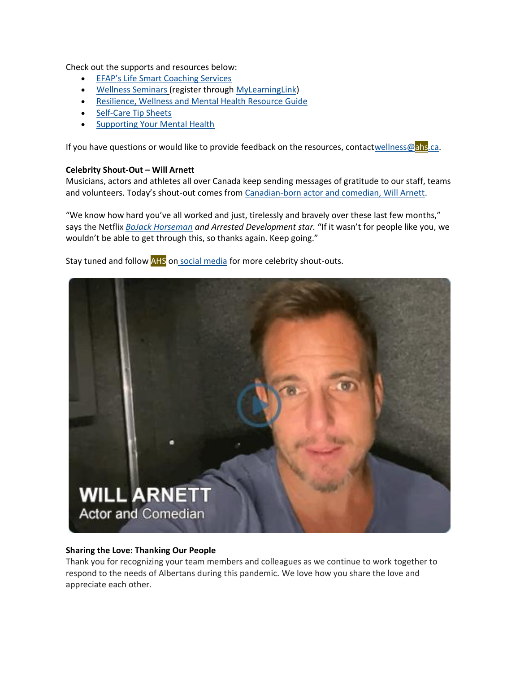Check out the supports and resources below:

- [EFAP's Life Smart Coaching Services](https://insite.albertahealthservices.ca/hr/Page964.aspx)
- [Wellness Seminars](https://insite.albertahealthservices.ca/hr/Page2967.aspx) (register through [MyLearningLink\)](https://insite.albertahealthservices.ca/hr/Page1881.aspx)
- [Resilience, Wellness and Mental Health Resource Guide](https://insite.albertahealthservices.ca/main/assets/hr/tms-hr-whs-resilience-wellness-mental-health-resource-guide.pdf)
- [Self-Care Tip Sheets](https://insite.albertahealthservices.ca/main/assets/hr/tms-hr-whs-self-care-tactics.pdf)
- [Supporting Your Mental Health](https://insite.albertahealthservices.ca/main/assets/hr/tms-hr-mental-health-resource.pdf)

If you have questions or would like to provide feedback on the resources, contac[twellness@ahs.ca.](mailto:wellness@ahs.ca)

#### **Celebrity Shout-Out – Will Arnett**

Musicians, actors and athletes all over Canada keep sending messages of gratitude to our staff, teams and volunteers. Today's shout-out comes from [Canadian-born actor and comedian,](https://youtu.be/3DvJbqe1R2c) Will Arnett.

"We know how hard you've all worked and just, tirelessly and bravely over these last few months," says the Netflix *[BoJack Horseman](https://en.wikipedia.org/wiki/BoJack_Horseman_(character)) and Arrested Development star.* "If it wasn't for people like you, we wouldn't be able to get through this, so thanks again. Keep going."

Stay tuned and follow AHS on social [media](https://www.instagram.com/albertahealthservices/) for more celebrity shout-outs.



#### **Sharing the Love: Thanking Our People**

Thank you for recognizing your team members and colleagues as we continue to work together to respond to the needs of Albertans during this pandemic. We love how you share the love and appreciate each other.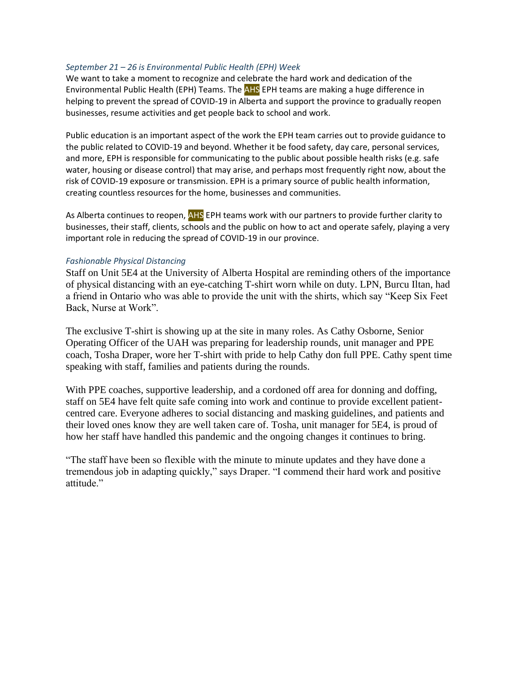#### *September 21 – 26 is Environmental Public Health (EPH) Week*

We want to take a moment to recognize and celebrate the hard work and dedication of the Environmental Public Health (EPH) Teams. The AHS EPH teams are making a huge difference in helping to prevent the spread of COVID-19 in Alberta and support the province to gradually reopen businesses, resume activities and get people back to school and work.

Public education is an important aspect of the work the EPH team carries out to provide guidance to the public related to COVID-19 and beyond. Whether it be food safety, day care, personal services, and more, EPH is responsible for communicating to the public about possible health risks (e.g. safe water, housing or disease control) that may arise, and perhaps most frequently right now, about the risk of COVID-19 exposure or transmission. EPH is a primary source of public health information, creating countless resources for the home, businesses and communities.

As Alberta continues to reopen, AHS EPH teams work with our partners to provide further clarity to businesses, their staff, clients, schools and the public on how to act and operate safely, playing a very important role in reducing the spread of COVID-19 in our province.

#### *Fashionable Physical Distancing*

Staff on Unit 5E4 at the University of Alberta Hospital are reminding others of the importance of physical distancing with an eye-catching T-shirt worn while on duty. LPN, Burcu Iltan, had a friend in Ontario who was able to provide the unit with the shirts, which say "Keep Six Feet Back, Nurse at Work".

The exclusive T-shirt is showing up at the site in many roles. As Cathy Osborne, Senior Operating Officer of the UAH was preparing for leadership rounds, unit manager and PPE coach, Tosha Draper, wore her T-shirt with pride to help Cathy don full PPE. Cathy spent time speaking with staff, families and patients during the rounds.

With PPE coaches, supportive leadership, and a cordoned off area for donning and doffing, staff on 5E4 have felt quite safe coming into work and continue to provide excellent patientcentred care. Everyone adheres to social distancing and masking guidelines, and patients and their loved ones know they are well taken care of. Tosha, unit manager for 5E4, is proud of how her staff have handled this pandemic and the ongoing changes it continues to bring.

"The staff have been so flexible with the minute to minute updates and they have done a tremendous job in adapting quickly," says Draper. "I commend their hard work and positive attitude."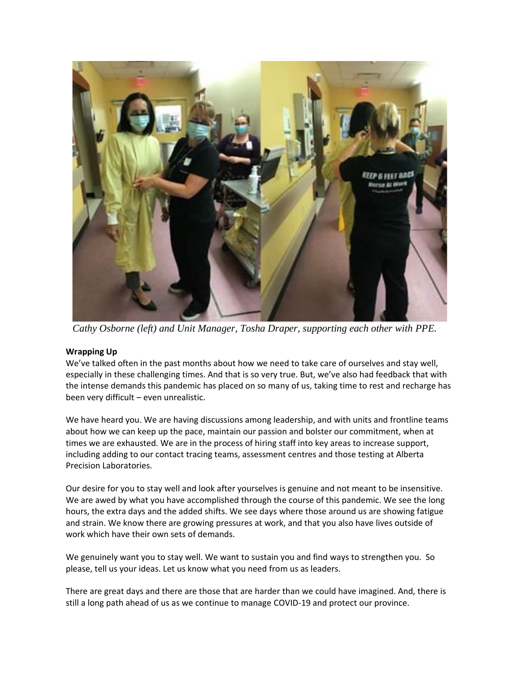

*Cathy Osborne (left) and Unit Manager, Tosha Draper, supporting each other with PPE.*

## **Wrapping Up**

We've talked often in the past months about how we need to take care of ourselves and stay well, especially in these challenging times. And that is so very true. But, we've also had feedback that with the intense demands this pandemic has placed on so many of us, taking time to rest and recharge has been very difficult – even unrealistic.

We have heard you. We are having discussions among leadership, and with units and frontline teams about how we can keep up the pace, maintain our passion and bolster our commitment, when at times we are exhausted. We are in the process of hiring staff into key areas to increase support, including adding to our contact tracing teams, assessment centres and those testing at Alberta Precision Laboratories.

Our desire for you to stay well and look after yourselves is genuine and not meant to be insensitive. We are awed by what you have accomplished through the course of this pandemic. We see the long hours, the extra days and the added shifts. We see days where those around us are showing fatigue and strain. We know there are growing pressures at work, and that you also have lives outside of work which have their own sets of demands.

We genuinely want you to stay well. We want to sustain you and find ways to strengthen you. So please, tell us your ideas. Let us know what you need from us as leaders.

There are great days and there are those that are harder than we could have imagined. And, there is still a long path ahead of us as we continue to manage COVID-19 and protect our province.